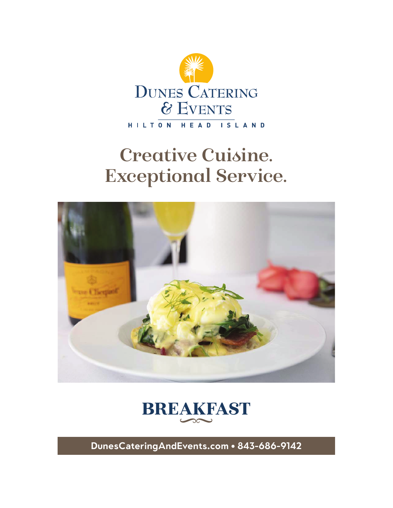

# **Creative Cuisine. Exceptional Service.**





**DunesCateringAndEvents.com • 843-686-9142**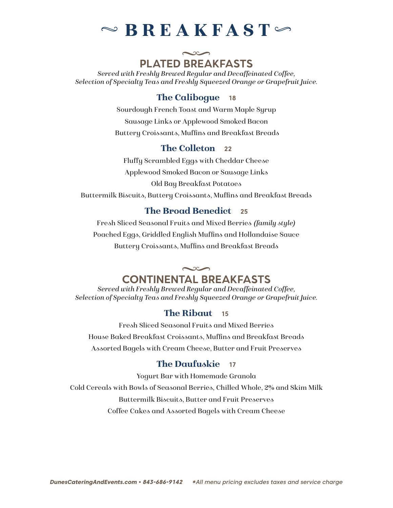## $\sim$  BREAKFAST

## $\sim$ **PLATED BREAKFASTS**

*Served with Freshly Brewed Regular and Decaffeinated Coffee, Selection of Specialty Teas and Freshly Squeezed Orange or Grapefruit Juice.*

#### The Calibogue **18**

Sourdough French Toast and Warm Maple Syrup Sausage Links or Applewood Smoked Bacon Buttery Croissants, Muffins and Breakfast Breads

#### The Colleton **22**

Fluffy Scrambled Eggs with Cheddar Cheese Applewood Smoked Bacon or Sausage Links Old Bay Breakfast Potatoes

Buttermilk Biscuits, Buttery Croissants, Muffins and Breakfast Breads

#### The Broad Benedict **25**

Fresh Sliced Seasonal Fruits and Mixed Berries *(family style)* Poached Eggs, Griddled English Muffins and Hollandaise Sauce Buttery Croissants, Muffins and Breakfast Breads

## $\sim$ **CONTINENTAL BREAKFASTS**

*Served with Freshly Brewed Regular and Decaffeinated Coffee, Selection of Specialty Teas and Freshly Squeezed Orange or Grapefruit Juice.*

#### The Ribaut **15**

Fresh Sliced Seasonal Fruits and Mixed Berries House Baked Breakfast Croissants, Muffins and Breakfast Breads Assorted Bagels with Cream Cheese, Butter and Fruit Preserves

#### The Daufuskie **17**

Yogurt Bar with Homemade Granola Cold Cereals with Bowls of Seasonal Berries, Chilled Whole, 2% and Skim Milk Buttermilk Biscuits, Butter and Fruit Preserves Coffee Cakes and Assorted Bagels with Cream Cheese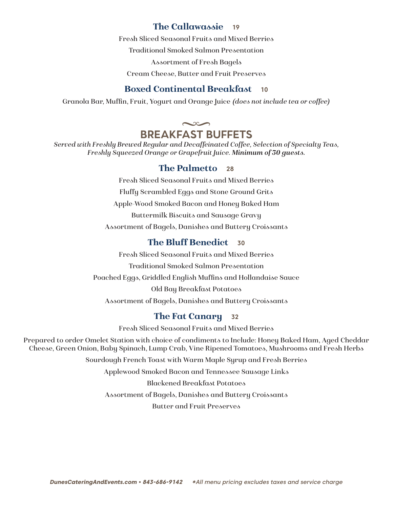#### The Callawassie **19**

Fresh Sliced Seasonal Fruits and Mixed Berries

Traditional Smoked Salmon Presentation

Assortment of Fresh Bagels

Cream Cheese, Butter and Fruit Preserves

#### Boxed Continental Breakfast **10**

Granola Bar, Muffin, Fruit, Yogurt and Orange Juice *(does not include tea or coffee)*

#### $\sim$ **BREAKFAST BUFFETS**

*Served with Freshly Brewed Regular and Decaffeinated Coffee, Selection of Specialty Teas, Freshly Squeezed Orange or Grapefruit Juice. Minimum of 30 guests.*

#### The Palmetto **28**

Fresh Sliced Seasonal Fruits and Mixed Berries Fluffy Scrambled Eggs and Stone Ground Grits Apple-Wood Smoked Bacon and Honey Baked Ham Buttermilk Biscuits and Sausage Gravy Assortment of Bagels, Danishes and Buttery Croissants

## The Bluff Benedict **30**

Fresh Sliced Seasonal Fruits and Mixed Berries Traditional Smoked Salmon Presentation Poached Eggs, Griddled English Muffins and Hollandaise Sauce Old Bay Breakfast Potatoes Assortment of Bagels, Danishes and Buttery Croissants

## The Fat Canary **32**

Fresh Sliced Seasonal Fruits and Mixed Berries

Prepared to order Omelet Station with choice of condiments to Include: Honey Baked Ham, Aged Cheddar Cheese, Green Onion, Baby Spinach, Lump Crab, Vine Ripened Tomatoes, Mushrooms and Fresh Herbs

Sourdough French Toast with Warm Maple Syrup and Fresh Berries

Applewood Smoked Bacon and Tennessee Sausage Links

Blackened Breakfast Potatoes

Assortment of Bagels, Danishes and Buttery Croissants

Butter and Fruit Preserves